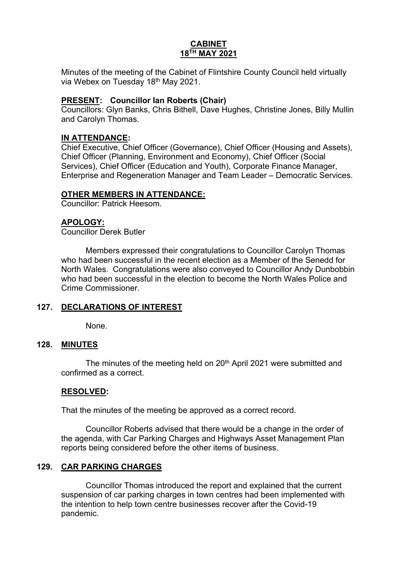# **CABINET 18TH MAY 2021**

Minutes of the meeting of the Cabinet of Flintshire County Council held virtually via Webex on Tuesday 18th May 2021.

### **PRESENT: Councillor Ian Roberts (Chair)**

Councillors: Glyn Banks, Chris Bithell, Dave Hughes, Christine Jones, Billy Mullin and Carolyn Thomas.

### **IN ATTENDANCE:**

Chief Executive, Chief Officer (Governance), Chief Officer (Housing and Assets), Chief Officer (Planning, Environment and Economy), Chief Officer (Social Services), Chief Officer (Education and Youth), Corporate Finance Manager, Enterprise and Regeneration Manager and Team Leader – Democratic Services.

### **OTHER MEMBERS IN ATTENDANCE:**

Councillor: Patrick Heesom.

### **APOLOGY:**

Councillor Derek Butler

Members expressed their congratulations to Councillor Carolyn Thomas who had been successful in the recent election as a Member of the Senedd for North Wales. Congratulations were also conveyed to Councillor Andy Dunbobbin who had been successful in the election to become the North Wales Police and Crime Commissioner.

## **127. DECLARATIONS OF INTEREST**

None.

## **128. MINUTES**

The minutes of the meeting held on 20<sup>th</sup> April 2021 were submitted and confirmed as a correct.

#### **RESOLVED:**

That the minutes of the meeting be approved as a correct record.

Councillor Roberts advised that there would be a change in the order of the agenda, with Car Parking Charges and Highways Asset Management Plan reports being considered before the other items of business.

### **129. CAR PARKING CHARGES**

Councillor Thomas introduced the report and explained that the current suspension of car parking charges in town centres had been implemented with the intention to help town centre businesses recover after the Covid-19 pandemic.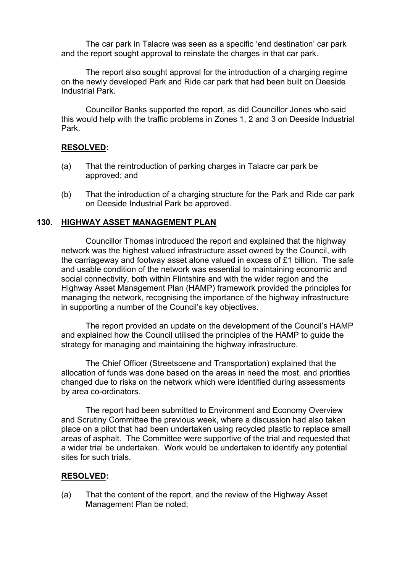The car park in Talacre was seen as a specific 'end destination' car park and the report sought approval to reinstate the charges in that car park.

The report also sought approval for the introduction of a charging regime on the newly developed Park and Ride car park that had been built on Deeside Industrial Park.

Councillor Banks supported the report, as did Councillor Jones who said this would help with the traffic problems in Zones 1, 2 and 3 on Deeside Industrial Park.

## **RESOLVED:**

- (a) That the reintroduction of parking charges in Talacre car park be approved; and
- (b) That the introduction of a charging structure for the Park and Ride car park on Deeside Industrial Park be approved.

## **130. HIGHWAY ASSET MANAGEMENT PLAN**

Councillor Thomas introduced the report and explained that the highway network was the highest valued infrastructure asset owned by the Council, with the carriageway and footway asset alone valued in excess of £1 billion. The safe and usable condition of the network was essential to maintaining economic and social connectivity, both within Flintshire and with the wider region and the Highway Asset Management Plan (HAMP) framework provided the principles for managing the network, recognising the importance of the highway infrastructure in supporting a number of the Council's key objectives.

The report provided an update on the development of the Council's HAMP and explained how the Council utilised the principles of the HAMP to guide the strategy for managing and maintaining the highway infrastructure.

The Chief Officer (Streetscene and Transportation) explained that the allocation of funds was done based on the areas in need the most, and priorities changed due to risks on the network which were identified during assessments by area co-ordinators.

The report had been submitted to Environment and Economy Overview and Scrutiny Committee the previous week, where a discussion had also taken place on a pilot that had been undertaken using recycled plastic to replace small areas of asphalt. The Committee were supportive of the trial and requested that a wider trial be undertaken. Work would be undertaken to identify any potential sites for such trials.

## **RESOLVED:**

(a) That the content of the report, and the review of the Highway Asset Management Plan be noted;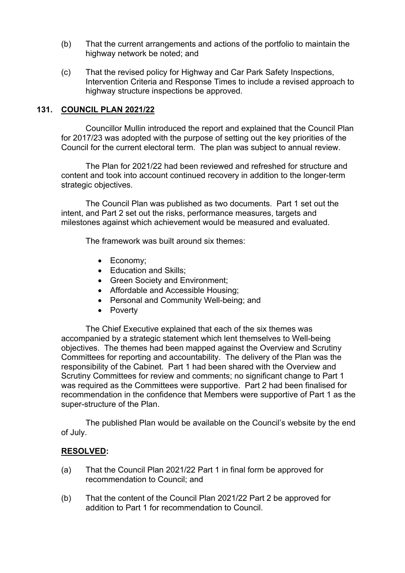- (b) That the current arrangements and actions of the portfolio to maintain the highway network be noted; and
- (c) That the revised policy for Highway and Car Park Safety Inspections, Intervention Criteria and Response Times to include a revised approach to highway structure inspections be approved.

### **131. COUNCIL PLAN 2021/22**

Councillor Mullin introduced the report and explained that the Council Plan for 2017/23 was adopted with the purpose of setting out the key priorities of the Council for the current electoral term. The plan was subject to annual review.

The Plan for 2021/22 had been reviewed and refreshed for structure and content and took into account continued recovery in addition to the longer-term strategic objectives.

The Council Plan was published as two documents. Part 1 set out the intent, and Part 2 set out the risks, performance measures, targets and milestones against which achievement would be measured and evaluated.

The framework was built around six themes:

- Economy;
- Education and Skills;
- Green Society and Environment:
- Affordable and Accessible Housing;
- Personal and Community Well-being; and
- Poverty

The Chief Executive explained that each of the six themes was accompanied by a strategic statement which lent themselves to Well-being objectives. The themes had been mapped against the Overview and Scrutiny Committees for reporting and accountability. The delivery of the Plan was the responsibility of the Cabinet. Part 1 had been shared with the Overview and Scrutiny Committees for review and comments; no significant change to Part 1 was required as the Committees were supportive. Part 2 had been finalised for recommendation in the confidence that Members were supportive of Part 1 as the super-structure of the Plan.

The published Plan would be available on the Council's website by the end of July.

#### **RESOLVED:**

- (a) That the Council Plan 2021/22 Part 1 in final form be approved for recommendation to Council; and
- (b) That the content of the Council Plan 2021/22 Part 2 be approved for addition to Part 1 for recommendation to Council.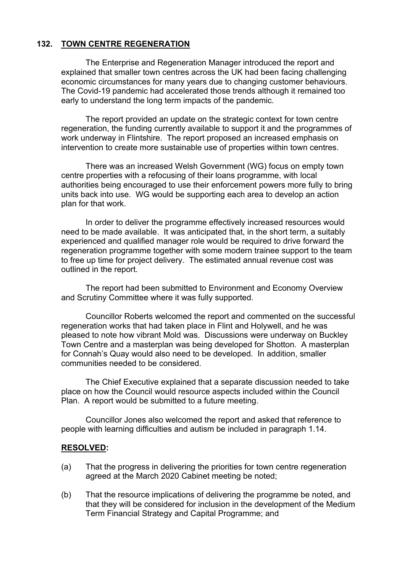# **132. TOWN CENTRE REGENERATION**

The Enterprise and Regeneration Manager introduced the report and explained that smaller town centres across the UK had been facing challenging economic circumstances for many years due to changing customer behaviours. The Covid-19 pandemic had accelerated those trends although it remained too early to understand the long term impacts of the pandemic.

The report provided an update on the strategic context for town centre regeneration, the funding currently available to support it and the programmes of work underway in Flintshire. The report proposed an increased emphasis on intervention to create more sustainable use of properties within town centres.

There was an increased Welsh Government (WG) focus on empty town centre properties with a refocusing of their loans programme, with local authorities being encouraged to use their enforcement powers more fully to bring units back into use. WG would be supporting each area to develop an action plan for that work.

In order to deliver the programme effectively increased resources would need to be made available. It was anticipated that, in the short term, a suitably experienced and qualified manager role would be required to drive forward the regeneration programme together with some modern trainee support to the team to free up time for project delivery. The estimated annual revenue cost was outlined in the report.

The report had been submitted to Environment and Economy Overview and Scrutiny Committee where it was fully supported.

Councillor Roberts welcomed the report and commented on the successful regeneration works that had taken place in Flint and Holywell, and he was pleased to note how vibrant Mold was. Discussions were underway on Buckley Town Centre and a masterplan was being developed for Shotton. A masterplan for Connah's Quay would also need to be developed. In addition, smaller communities needed to be considered.

The Chief Executive explained that a separate discussion needed to take place on how the Council would resource aspects included within the Council Plan. A report would be submitted to a future meeting.

Councillor Jones also welcomed the report and asked that reference to people with learning difficulties and autism be included in paragraph 1.14.

#### **RESOLVED:**

- (a) That the progress in delivering the priorities for town centre regeneration agreed at the March 2020 Cabinet meeting be noted;
- (b) That the resource implications of delivering the programme be noted, and that they will be considered for inclusion in the development of the Medium Term Financial Strategy and Capital Programme; and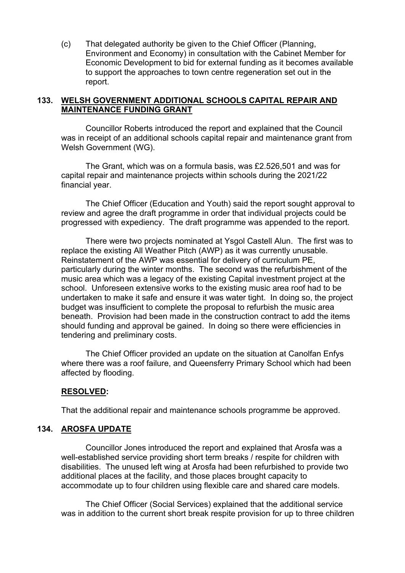(c) That delegated authority be given to the Chief Officer (Planning, Environment and Economy) in consultation with the Cabinet Member for Economic Development to bid for external funding as it becomes available to support the approaches to town centre regeneration set out in the report.

### **133. WELSH GOVERNMENT ADDITIONAL SCHOOLS CAPITAL REPAIR AND MAINTENANCE FUNDING GRANT**

Councillor Roberts introduced the report and explained that the Council was in receipt of an additional schools capital repair and maintenance grant from Welsh Government (WG).

The Grant, which was on a formula basis, was £2.526,501 and was for capital repair and maintenance projects within schools during the 2021/22 financial year.

The Chief Officer (Education and Youth) said the report sought approval to review and agree the draft programme in order that individual projects could be progressed with expediency. The draft programme was appended to the report.

There were two projects nominated at Ysgol Castell Alun. The first was to replace the existing All Weather Pitch (AWP) as it was currently unusable. Reinstatement of the AWP was essential for delivery of curriculum PE, particularly during the winter months. The second was the refurbishment of the music area which was a legacy of the existing Capital investment project at the school. Unforeseen extensive works to the existing music area roof had to be undertaken to make it safe and ensure it was water tight. In doing so, the project budget was insufficient to complete the proposal to refurbish the music area beneath. Provision had been made in the construction contract to add the items should funding and approval be gained. In doing so there were efficiencies in tendering and preliminary costs.

The Chief Officer provided an update on the situation at Canolfan Enfys where there was a roof failure, and Queensferry Primary School which had been affected by flooding.

#### **RESOLVED:**

That the additional repair and maintenance schools programme be approved.

#### **134. AROSFA UPDATE**

Councillor Jones introduced the report and explained that Arosfa was a well-established service providing short term breaks / respite for children with disabilities. The unused left wing at Arosfa had been refurbished to provide two additional places at the facility, and those places brought capacity to accommodate up to four children using flexible care and shared care models.

The Chief Officer (Social Services) explained that the additional service was in addition to the current short break respite provision for up to three children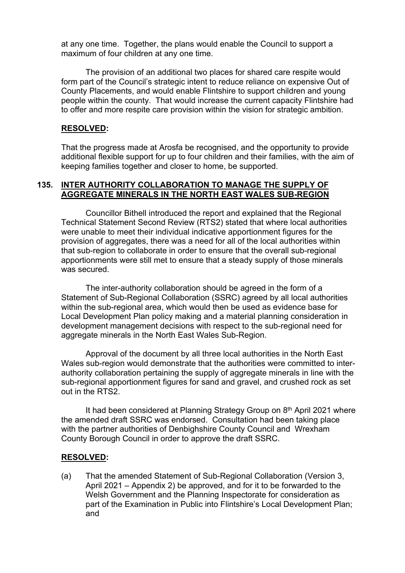at any one time. Together, the plans would enable the Council to support a maximum of four children at any one time.

The provision of an additional two places for shared care respite would form part of the Council's strategic intent to reduce reliance on expensive Out of County Placements, and would enable Flintshire to support children and young people within the county. That would increase the current capacity Flintshire had to offer and more respite care provision within the vision for strategic ambition.

#### **RESOLVED:**

That the progress made at Arosfa be recognised, and the opportunity to provide additional flexible support for up to four children and their families, with the aim of keeping families together and closer to home, be supported.

### **135. INTER AUTHORITY COLLABORATION TO MANAGE THE SUPPLY OF AGGREGATE MINERALS IN THE NORTH EAST WALES SUB-REGION**

Councillor Bithell introduced the report and explained that the Regional Technical Statement Second Review (RTS2) stated that where local authorities were unable to meet their individual indicative apportionment figures for the provision of aggregates, there was a need for all of the local authorities within that sub-region to collaborate in order to ensure that the overall sub-regional apportionments were still met to ensure that a steady supply of those minerals was secured.

The inter-authority collaboration should be agreed in the form of a Statement of Sub-Regional Collaboration (SSRC) agreed by all local authorities within the sub-regional area, which would then be used as evidence base for Local Development Plan policy making and a material planning consideration in development management decisions with respect to the sub-regional need for aggregate minerals in the North East Wales Sub-Region.

Approval of the document by all three local authorities in the North East Wales sub-region would demonstrate that the authorities were committed to interauthority collaboration pertaining the supply of aggregate minerals in line with the sub-regional apportionment figures for sand and gravel, and crushed rock as set out in the RTS2.

It had been considered at Planning Strategy Group on 8<sup>th</sup> April 2021 where the amended draft SSRC was endorsed. Consultation had been taking place with the partner authorities of Denbighshire County Council and Wrexham County Borough Council in order to approve the draft SSRC.

#### **RESOLVED:**

(a) That the amended Statement of Sub-Regional Collaboration (Version 3, April 2021 – Appendix 2) be approved, and for it to be forwarded to the Welsh Government and the Planning Inspectorate for consideration as part of the Examination in Public into Flintshire's Local Development Plan; and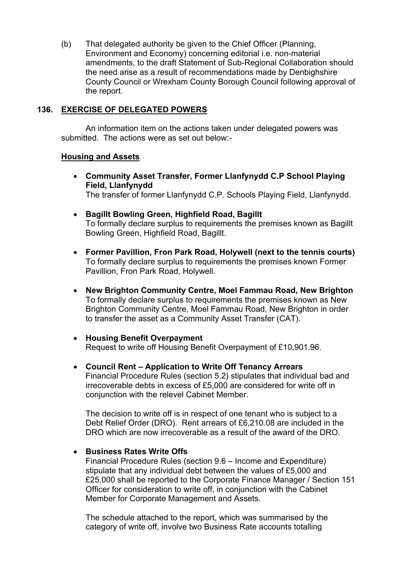(b) That delegated authority be given to the Chief Officer (Planning, Environment and Economy) concerning editorial i.e. non-material amendments, to the draft Statement of Sub-Regional Collaboration should the need arise as a result of recommendations made by Denbighshire County Council or Wrexham County Borough Council following approval of the report.

# **136. EXERCISE OF DELEGATED POWERS**

An information item on the actions taken under delegated powers was submitted. The actions were as set out below:-

## **Housing and Assets**

- **Community Asset Transfer, Former Llanfynydd C.P School Playing Field, Llanfynydd** The transfer of former Llanfynydd C.P. Schools Playing Field, Llanfynydd.
- **Bagillt Bowling Green, Highfield Road, Bagillt** To formally declare surplus to requirements the premises known as Bagillt Bowling Green, Highfield Road, Bagillt.
- **Former Pavillion, Fron Park Road, Holywell (next to the tennis courts)** To formally declare surplus to requirements the premises known Former Pavillion, Fron Park Road, Holywell.
- **New Brighton Community Centre, Moel Fammau Road, New Brighton** To formally declare surplus to requirements the premises known as New Brighton Community Centre, Moel Fammau Road, New Brighton in order to transfer the asset as a Community Asset Transfer (CAT).
- **Housing Benefit Overpayment** Request to write off Housing Benefit Overpayment of £10,901.96.
- **Council Rent – Application to Write Off Tenancy Arrears** Financial Procedure Rules (section 5.2) stipulates that individual bad and irrecoverable debts in excess of £5,000 are considered for write off in conjunction with the relevel Cabinet Member.

The decision to write off is in respect of one tenant who is subject to a Debt Relief Order (DRO). Rent arrears of £6,210.08 are included in the DRO which are now irrecoverable as a result of the award of the DRO.

## **Business Rates Write Offs**

Financial Procedure Rules (section 9.6 – Income and Expenditure) stipulate that any individual debt between the values of £5,000 and £25,000 shall be reported to the Corporate Finance Manager / Section 151 Officer for consideration to write off, in conjunction with the Cabinet Member for Corporate Management and Assets.

The schedule attached to the report, which was summarised by the category of write off, involve two Business Rate accounts totalling